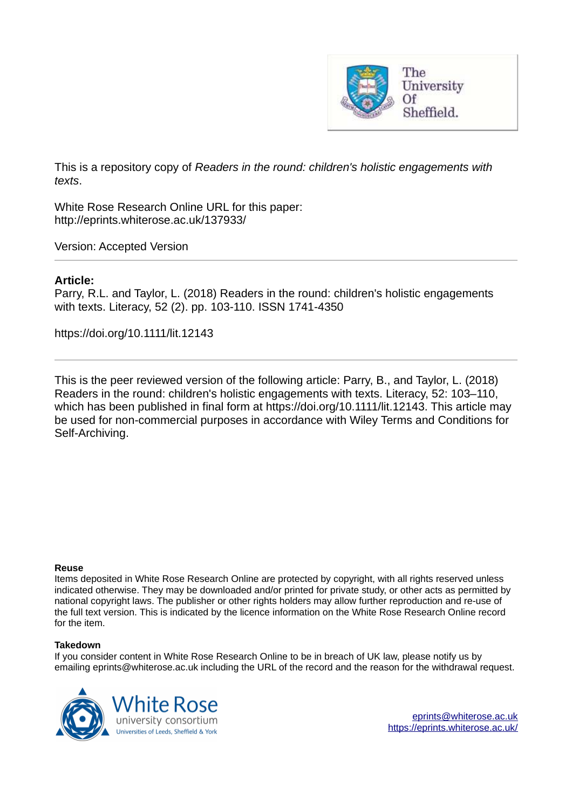

This is a repository copy of *Readers in the round: children's holistic engagements with texts*.

White Rose Research Online URL for this paper: http://eprints.whiterose.ac.uk/137933/

Version: Accepted Version

# **Article:**

Parry, R.L. and Taylor, L. (2018) Readers in the round: children's holistic engagements with texts. Literacy, 52 (2). pp. 103-110. ISSN 1741-4350

https://doi.org/10.1111/lit.12143

This is the peer reviewed version of the following article: Parry, B., and Taylor, L. (2018) Readers in the round: children's holistic engagements with texts. Literacy, 52: 103–110, which has been published in final form at https://doi.org/10.1111/lit.12143. This article may be used for non-commercial purposes in accordance with Wiley Terms and Conditions for Self-Archiving.

#### **Reuse**

Items deposited in White Rose Research Online are protected by copyright, with all rights reserved unless indicated otherwise. They may be downloaded and/or printed for private study, or other acts as permitted by national copyright laws. The publisher or other rights holders may allow further reproduction and re-use of the full text version. This is indicated by the licence information on the White Rose Research Online record for the item.

## **Takedown**

If you consider content in White Rose Research Online to be in breach of UK law, please notify us by emailing eprints@whiterose.ac.uk including the URL of the record and the reason for the withdrawal request.

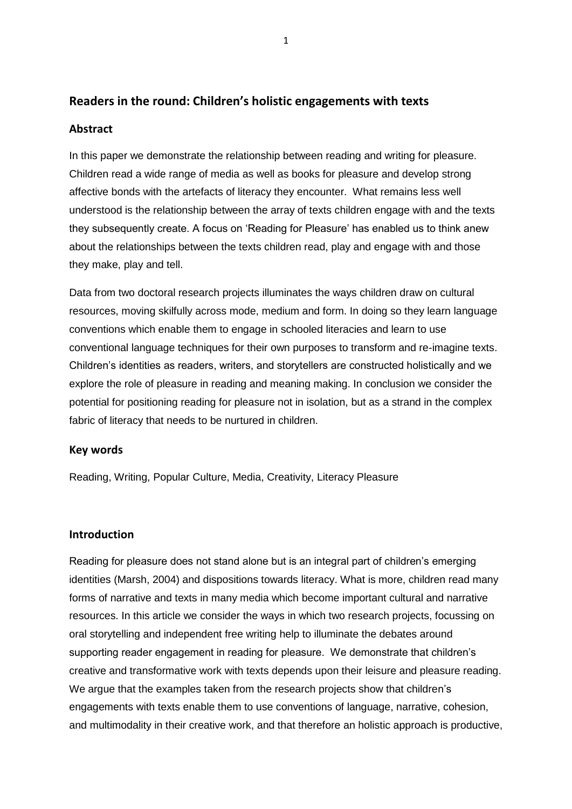# **Readers in the round: Children's holistic engagements with texts**

# **Abstract**

In this paper we demonstrate the relationship between reading and writing for pleasure. Children read a wide range of media as well as books for pleasure and develop strong affective bonds with the artefacts of literacy they encounter. What remains less well understood is the relationship between the array of texts children engage with and the texts they subsequently create. A focus on 'Reading for Pleasure' has enabled us to think anew about the relationships between the texts children read, play and engage with and those they make, play and tell.

Data from two doctoral research projects illuminates the ways children draw on cultural resources, moving skilfully across mode, medium and form. In doing so they learn language conventions which enable them to engage in schooled literacies and learn to use conventional language techniques for their own purposes to transform and re-imagine texts. Children's identities as readers, writers, and storytellers are constructed holistically and we explore the role of pleasure in reading and meaning making. In conclusion we consider the potential for positioning reading for pleasure not in isolation, but as a strand in the complex fabric of literacy that needs to be nurtured in children.

## **Key words**

Reading, Writing, Popular Culture, Media, Creativity, Literacy Pleasure

## **Introduction**

Reading for pleasure does not stand alone but is an integral part of children's emerging identities (Marsh, 2004) and dispositions towards literacy. What is more, children read many forms of narrative and texts in many media which become important cultural and narrative resources. In this article we consider the ways in which two research projects, focussing on oral storytelling and independent free writing help to illuminate the debates around supporting reader engagement in reading for pleasure. We demonstrate that children's creative and transformative work with texts depends upon their leisure and pleasure reading. We argue that the examples taken from the research projects show that children's engagements with texts enable them to use conventions of language, narrative, cohesion, and multimodality in their creative work, and that therefore an holistic approach is productive,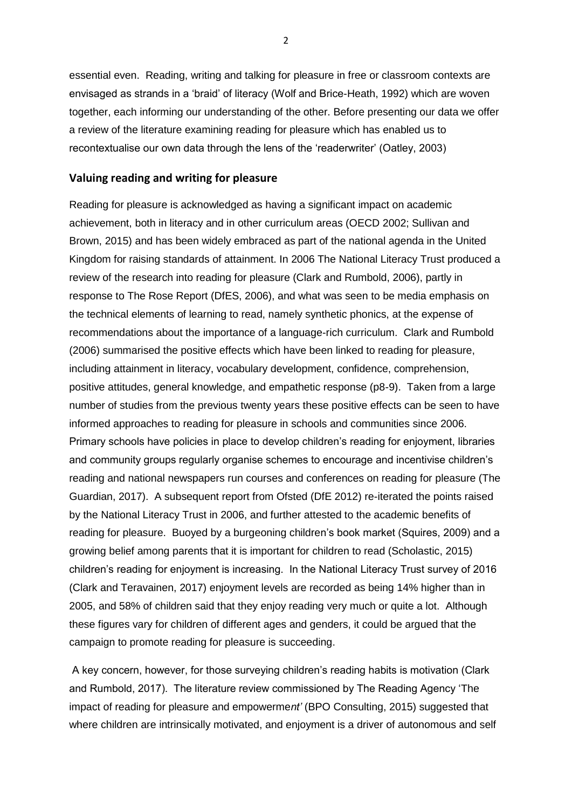essential even. Reading, writing and talking for pleasure in free or classroom contexts are envisaged as strands in a 'braid' of literacy (Wolf and Brice-Heath, 1992) which are woven together, each informing our understanding of the other. Before presenting our data we offer a review of the literature examining reading for pleasure which has enabled us to recontextualise our own data through the lens of the 'readerwriter' (Oatley, 2003)

#### **Valuing reading and writing for pleasure**

Reading for pleasure is acknowledged as having a significant impact on academic achievement, both in literacy and in other curriculum areas (OECD 2002; Sullivan and Brown, 2015) and has been widely embraced as part of the national agenda in the United Kingdom for raising standards of attainment. In 2006 The National Literacy Trust produced a review of the research into reading for pleasure (Clark and Rumbold, 2006), partly in response to The Rose Report (DfES, 2006), and what was seen to be media emphasis on the technical elements of learning to read, namely synthetic phonics, at the expense of recommendations about the importance of a language-rich curriculum. Clark and Rumbold (2006) summarised the positive effects which have been linked to reading for pleasure, including attainment in literacy, vocabulary development, confidence, comprehension, positive attitudes, general knowledge, and empathetic response (p8-9). Taken from a large number of studies from the previous twenty years these positive effects can be seen to have informed approaches to reading for pleasure in schools and communities since 2006. Primary schools have policies in place to develop children's reading for enjoyment, libraries and community groups regularly organise schemes to encourage and incentivise children's reading and national newspapers run courses and conferences on reading for pleasure (The Guardian, 2017). A subsequent report from Ofsted (DfE 2012) re-iterated the points raised by the National Literacy Trust in 2006, and further attested to the academic benefits of reading for pleasure. Buoyed by a burgeoning children's book market (Squires, 2009) and a growing belief among parents that it is important for children to read (Scholastic, 2015) children's reading for enjoyment is increasing. In the National Literacy Trust survey of 2016 (Clark and Teravainen, 2017) enjoyment levels are recorded as being 14% higher than in 2005, and 58% of children said that they enjoy reading very much or quite a lot. Although these figures vary for children of different ages and genders, it could be argued that the campaign to promote reading for pleasure is succeeding.

A key concern, however, for those surveying children's reading habits is motivation (Clark and Rumbold, 2017). The literature review commissioned by The Reading Agency 'The impact of reading for pleasure and empowerme*nt'* (BPO Consulting, 2015) suggested that where children are intrinsically motivated, and enjoyment is a driver of autonomous and self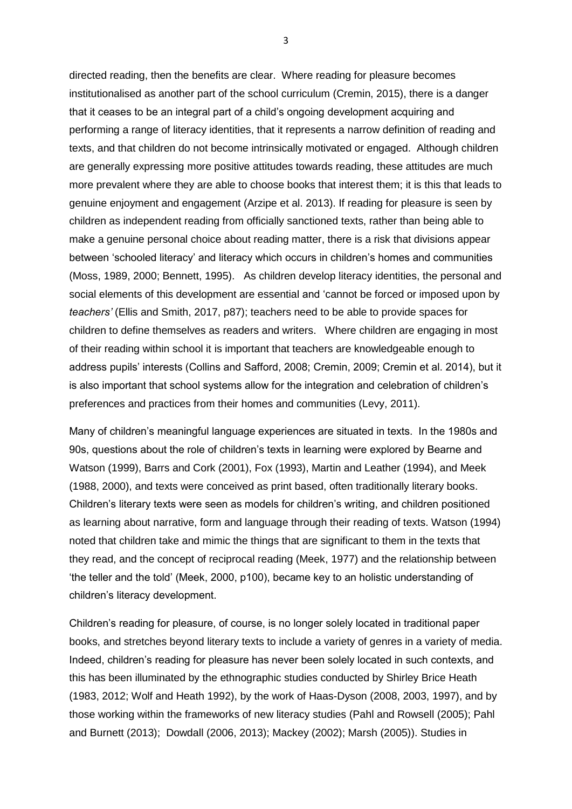directed reading, then the benefits are clear. Where reading for pleasure becomes institutionalised as another part of the school curriculum (Cremin, 2015), there is a danger that it ceases to be an integral part of a child's ongoing development acquiring and performing a range of literacy identities, that it represents a narrow definition of reading and texts, and that children do not become intrinsically motivated or engaged. Although children are generally expressing more positive attitudes towards reading, these attitudes are much more prevalent where they are able to choose books that interest them; it is this that leads to genuine enjoyment and engagement (Arzipe et al. 2013). If reading for pleasure is seen by children as independent reading from officially sanctioned texts, rather than being able to make a genuine personal choice about reading matter, there is a risk that divisions appear between 'schooled literacy' and literacy which occurs in children's homes and communities (Moss, 1989, 2000; Bennett, 1995). As children develop literacy identities, the personal and social elements of this development are essential and 'cannot be forced or imposed upon by *teachers'* (Ellis and Smith, 2017, p87); teachers need to be able to provide spaces for children to define themselves as readers and writers. Where children are engaging in most of their reading within school it is important that teachers are knowledgeable enough to address pupils' interests (Collins and Safford, 2008; Cremin, 2009; Cremin et al. 2014), but it is also important that school systems allow for the integration and celebration of children's preferences and practices from their homes and communities (Levy, 2011).

Many of children's meaningful language experiences are situated in texts. In the 1980s and 90s, questions about the role of children's texts in learning were explored by Bearne and Watson (1999), Barrs and Cork (2001), Fox (1993), Martin and Leather (1994), and Meek (1988, 2000), and texts were conceived as print based, often traditionally literary books. Children's literary texts were seen as models for children's writing, and children positioned as learning about narrative, form and language through their reading of texts. Watson (1994) noted that children take and mimic the things that are significant to them in the texts that they read, and the concept of reciprocal reading (Meek, 1977) and the relationship between 'the teller and the told' (Meek, 2000, p100), became key to an holistic understanding of children's literacy development.

Children's reading for pleasure, of course, is no longer solely located in traditional paper books, and stretches beyond literary texts to include a variety of genres in a variety of media. Indeed, children's reading for pleasure has never been solely located in such contexts, and this has been illuminated by the ethnographic studies conducted by Shirley Brice Heath (1983, 2012; Wolf and Heath 1992), by the work of Haas-Dyson (2008, 2003, 1997), and by those working within the frameworks of new literacy studies (Pahl and Rowsell (2005); Pahl and Burnett (2013); Dowdall (2006, 2013); Mackey (2002); Marsh (2005)). Studies in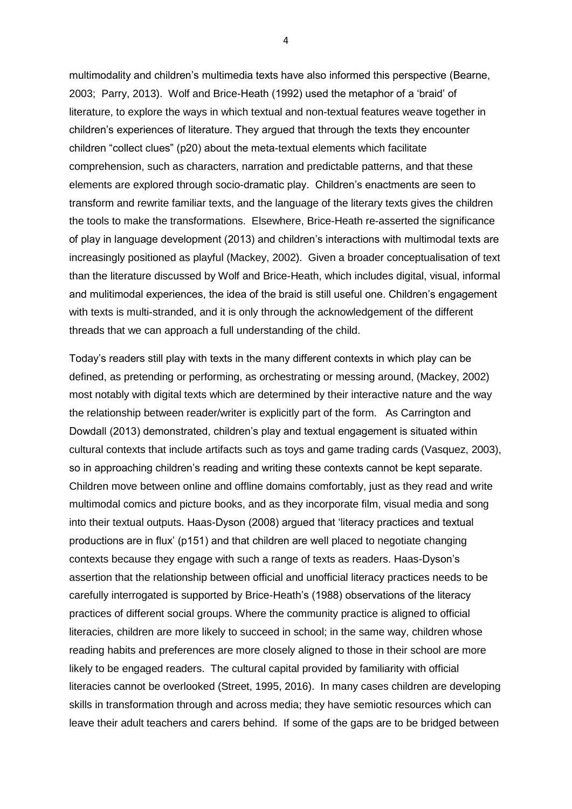multimodality and children's multimedia texts have also informed this perspective (Bearne, 2003; Parry, 2013). Wolf and Brice-Heath (1992) used the metaphor of a 'braid' of literature, to explore the ways in which textual and non-textual features weave together in children's experiences of literature. They argued that through the texts they encounter children "collect clues" (p20) about the meta-textual elements which facilitate comprehension, such as characters, narration and predictable patterns, and that these elements are explored through socio-dramatic play. Children's enactments are seen to transform and rewrite familiar texts, and the language of the literary texts gives the children the tools to make the transformations. Elsewhere, Brice-Heath re-asserted the significance of play in language development (2013) and children's interactions with multimodal texts are increasingly positioned as playful (Mackey, 2002). Given a broader conceptualisation of text than the literature discussed by Wolf and Brice-Heath, which includes digital, visual, informal and mulitimodal experiences, the idea of the braid is still useful one. Children's engagement with texts is multi-stranded, and it is only through the acknowledgement of the different threads that we can approach a full understanding of the child.

Today's readers still play with texts in the many different contexts in which play can be defined, as pretending or performing, as orchestrating or messing around, (Mackey, 2002) most notably with digital texts which are determined by their interactive nature and the way the relationship between reader/writer is explicitly part of the form. As Carrington and Dowdall (2013) demonstrated, children's play and textual engagement is situated within cultural contexts that include artifacts such as toys and game trading cards (Vasquez, 2003), so in approaching children's reading and writing these contexts cannot be kept separate. Children move between online and offline domains comfortably, just as they read and write multimodal comics and picture books, and as they incorporate film, visual media and song into their textual outputs. Haas-Dyson (2008) argued that 'literacy practices and textual productions are in flux' (p151) and that children are well placed to negotiate changing contexts because they engage with such a range of texts as readers. Haas-Dyson's assertion that the relationship between official and unofficial literacy practices needs to be carefully interrogated is supported by Brice-Heath's (1988) observations of the literacy practices of different social groups. Where the community practice is aligned to official literacies, children are more likely to succeed in school; in the same way, children whose reading habits and preferences are more closely aligned to those in their school are more likely to be engaged readers. The cultural capital provided by familiarity with official literacies cannot be overlooked (Street, 1995, 2016). In many cases children are developing skills in transformation through and across media; they have semiotic resources which can leave their adult teachers and carers behind. If some of the gaps are to be bridged between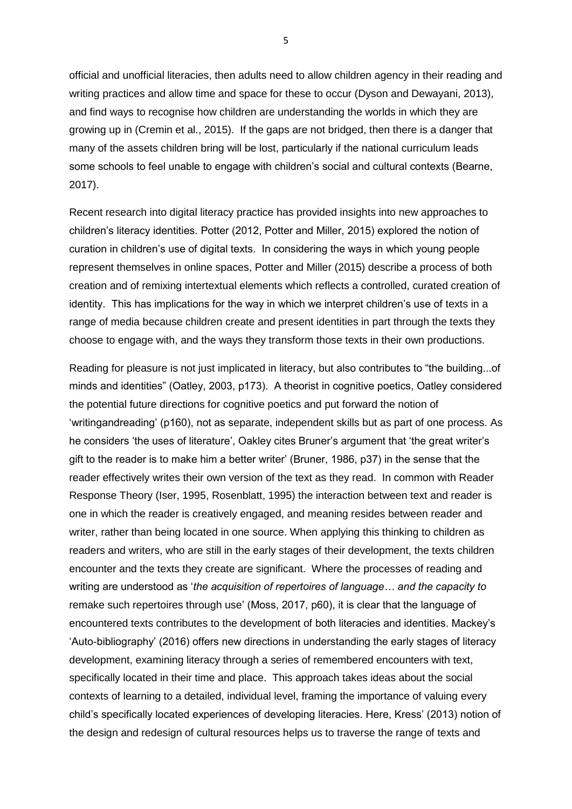official and unofficial literacies, then adults need to allow children agency in their reading and writing practices and allow time and space for these to occur (Dyson and Dewayani, 2013), and find ways to recognise how children are understanding the worlds in which they are growing up in (Cremin et al., 2015). If the gaps are not bridged, then there is a danger that many of the assets children bring will be lost, particularly if the national curriculum leads some schools to feel unable to engage with children's social and cultural contexts (Bearne, 2017).

Recent research into digital literacy practice has provided insights into new approaches to children's literacy identities. Potter (2012, Potter and Miller, 2015) explored the notion of curation in children's use of digital texts. In considering the ways in which young people represent themselves in online spaces, Potter and Miller (2015) describe a process of both creation and of remixing intertextual elements which reflects a controlled, curated creation of identity. This has implications for the way in which we interpret children's use of texts in a range of media because children create and present identities in part through the texts they choose to engage with, and the ways they transform those texts in their own productions.

Reading for pleasure is not just implicated in literacy, but also contributes to "the building...of minds and identities" (Oatley, 2003, p173). A theorist in cognitive poetics, Oatley considered the potential future directions for cognitive poetics and put forward the notion of 'writingandreading' (p160), not as separate, independent skills but as part of one process. As he considers 'the uses of literature', Oakley cites Bruner's argument that 'the great writer's gift to the reader is to make him a better writer' (Bruner, 1986, p37) in the sense that the reader effectively writes their own version of the text as they read. In common with Reader Response Theory (Iser, 1995, Rosenblatt, 1995) the interaction between text and reader is one in which the reader is creatively engaged, and meaning resides between reader and writer, rather than being located in one source. When applying this thinking to children as readers and writers, who are still in the early stages of their development, the texts children encounter and the texts they create are significant. Where the processes of reading and writing are understood as '*the acquisition of repertoires of language… and the capacity to*  remake such repertoires through use' (Moss, 2017, p60), it is clear that the language of encountered texts contributes to the development of both literacies and identities. Mackey's 'Auto-bibliography' (2016) offers new directions in understanding the early stages of literacy development, examining literacy through a series of remembered encounters with text, specifically located in their time and place. This approach takes ideas about the social contexts of learning to a detailed, individual level, framing the importance of valuing every child's specifically located experiences of developing literacies. Here, Kress' (2013) notion of the design and redesign of cultural resources helps us to traverse the range of texts and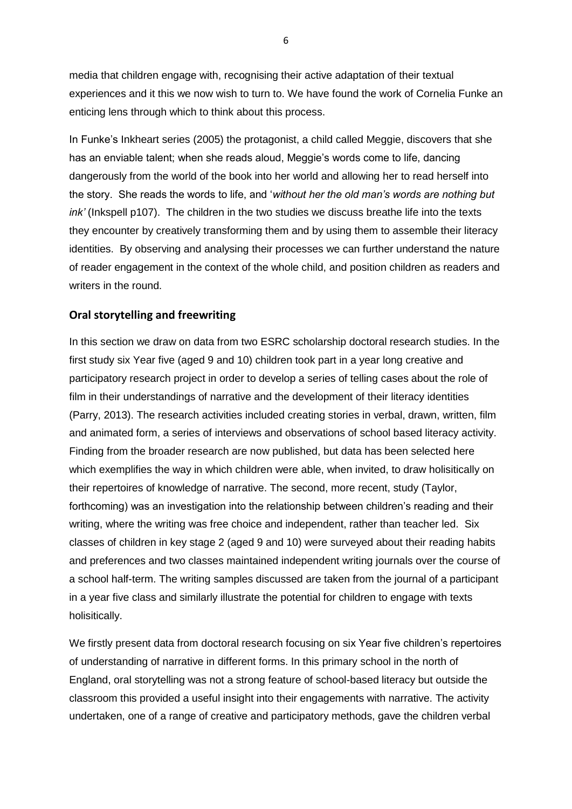media that children engage with, recognising their active adaptation of their textual experiences and it this we now wish to turn to. We have found the work of Cornelia Funke an enticing lens through which to think about this process.

In Funke's Inkheart series (2005) the protagonist, a child called Meggie, discovers that she has an enviable talent; when she reads aloud, Meggie's words come to life, dancing dangerously from the world of the book into her world and allowing her to read herself into the story. She reads the words to life, and '*without her the old man's words are nothing but ink'* (Inkspell p107). The children in the two studies we discuss breathe life into the texts they encounter by creatively transforming them and by using them to assemble their literacy identities. By observing and analysing their processes we can further understand the nature of reader engagement in the context of the whole child, and position children as readers and writers in the round.

# **Oral storytelling and freewriting**

In this section we draw on data from two ESRC scholarship doctoral research studies. In the first study six Year five (aged 9 and 10) children took part in a year long creative and participatory research project in order to develop a series of telling cases about the role of film in their understandings of narrative and the development of their literacy identities (Parry, 2013). The research activities included creating stories in verbal, drawn, written, film and animated form, a series of interviews and observations of school based literacy activity. Finding from the broader research are now published, but data has been selected here which exemplifies the way in which children were able, when invited, to draw holisitically on their repertoires of knowledge of narrative. The second, more recent, study (Taylor, forthcoming) was an investigation into the relationship between children's reading and their writing, where the writing was free choice and independent, rather than teacher led. Six classes of children in key stage 2 (aged 9 and 10) were surveyed about their reading habits and preferences and two classes maintained independent writing journals over the course of a school half-term. The writing samples discussed are taken from the journal of a participant in a year five class and similarly illustrate the potential for children to engage with texts holisitically.

We firstly present data from doctoral research focusing on six Year five children's repertoires of understanding of narrative in different forms. In this primary school in the north of England, oral storytelling was not a strong feature of school-based literacy but outside the classroom this provided a useful insight into their engagements with narrative. The activity undertaken, one of a range of creative and participatory methods, gave the children verbal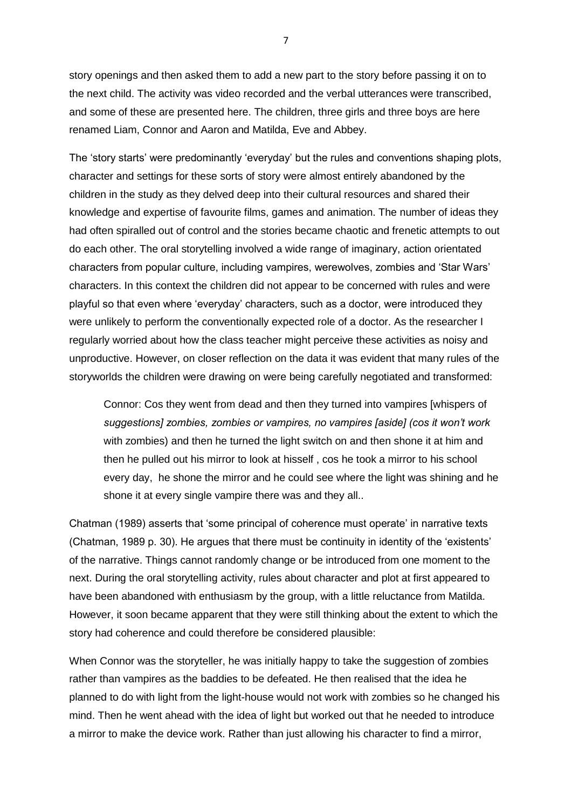story openings and then asked them to add a new part to the story before passing it on to the next child. The activity was video recorded and the verbal utterances were transcribed, and some of these are presented here. The children, three girls and three boys are here renamed Liam, Connor and Aaron and Matilda, Eve and Abbey.

The 'story starts' were predominantly 'everyday' but the rules and conventions shaping plots, character and settings for these sorts of story were almost entirely abandoned by the children in the study as they delved deep into their cultural resources and shared their knowledge and expertise of favourite films, games and animation. The number of ideas they had often spiralled out of control and the stories became chaotic and frenetic attempts to out do each other. The oral storytelling involved a wide range of imaginary, action orientated characters from popular culture, including vampires, werewolves, zombies and 'Star Wars' characters. In this context the children did not appear to be concerned with rules and were playful so that even where 'everyday' characters, such as a doctor, were introduced they were unlikely to perform the conventionally expected role of a doctor. As the researcher I regularly worried about how the class teacher might perceive these activities as noisy and unproductive. However, on closer reflection on the data it was evident that many rules of the storyworlds the children were drawing on were being carefully negotiated and transformed:

Connor: Cos they went from dead and then they turned into vampires [whispers of *suggestions] zombies, zombies or vampires, no vampires [aside] (cos it won't work*  with zombies) and then he turned the light switch on and then shone it at him and then he pulled out his mirror to look at hisself , cos he took a mirror to his school every day, he shone the mirror and he could see where the light was shining and he shone it at every single vampire there was and they all..

Chatman (1989) asserts that 'some principal of coherence must operate' in narrative texts (Chatman, 1989 p. 30). He argues that there must be continuity in identity of the 'existents' of the narrative. Things cannot randomly change or be introduced from one moment to the next. During the oral storytelling activity, rules about character and plot at first appeared to have been abandoned with enthusiasm by the group, with a little reluctance from Matilda. However, it soon became apparent that they were still thinking about the extent to which the story had coherence and could therefore be considered plausible:

When Connor was the storyteller, he was initially happy to take the suggestion of zombies rather than vampires as the baddies to be defeated. He then realised that the idea he planned to do with light from the light-house would not work with zombies so he changed his mind. Then he went ahead with the idea of light but worked out that he needed to introduce a mirror to make the device work. Rather than just allowing his character to find a mirror,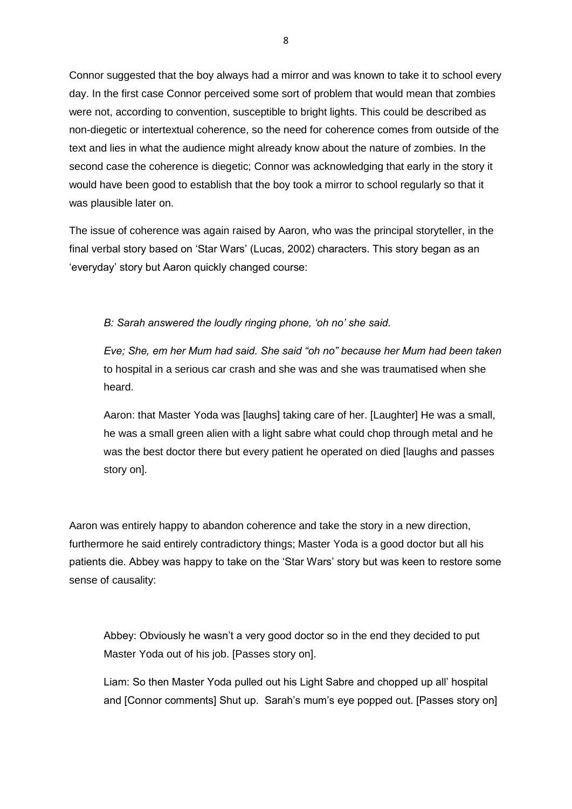Connor suggested that the boy always had a mirror and was known to take it to school every day. In the first case Connor perceived some sort of problem that would mean that zombies were not, according to convention, susceptible to bright lights. This could be described as non-diegetic or intertextual coherence, so the need for coherence comes from outside of the text and lies in what the audience might already know about the nature of zombies. In the second case the coherence is diegetic; Connor was acknowledging that early in the story it would have been good to establish that the boy took a mirror to school regularly so that it was plausible later on.

The issue of coherence was again raised by Aaron, who was the principal storyteller, in the final verbal story based on 'Star Wars' (Lucas, 2002) characters. This story began as an 'everyday' story but Aaron quickly changed course:

*B: Sarah answered the loudly ringing phone, 'oh no' she said.*

*Eve; She, em her Mum had said. She said "oh no" because her Mum had been taken*  to hospital in a serious car crash and she was and she was traumatised when she heard.

Aaron: that Master Yoda was [laughs] taking care of her. [Laughter] He was a small, he was a small green alien with a light sabre what could chop through metal and he was the best doctor there but every patient he operated on died [laughs and passes story on].

Aaron was entirely happy to abandon coherence and take the story in a new direction, furthermore he said entirely contradictory things; Master Yoda is a good doctor but all his patients die. Abbey was happy to take on the 'Star Wars' story but was keen to restore some sense of causality:

Abbey: Obviously he wasn't a very good doctor so in the end they decided to put Master Yoda out of his job. [Passes story on].

Liam: So then Master Yoda pulled out his Light Sabre and chopped up all' hospital and [Connor comments] Shut up. Sarah's mum's eye popped out. [Passes story on]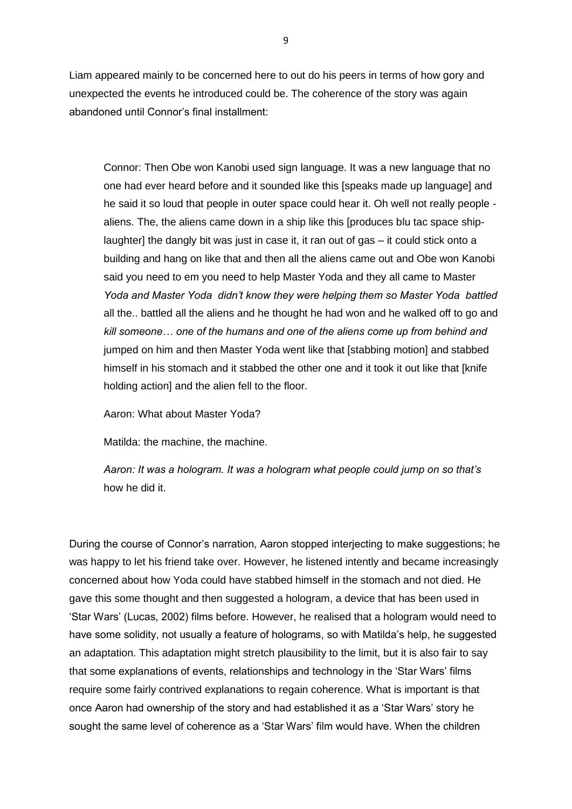Liam appeared mainly to be concerned here to out do his peers in terms of how gory and unexpected the events he introduced could be. The coherence of the story was again abandoned until Connor's final installment:

Connor: Then Obe won Kanobi used sign language. It was a new language that no one had ever heard before and it sounded like this [speaks made up language] and he said it so loud that people in outer space could hear it. Oh well not really people aliens. The, the aliens came down in a ship like this [produces blu tac space shiplaughter] the dangly bit was just in case it, it ran out of gas *–* it could stick onto a building and hang on like that and then all the aliens came out and Obe won Kanobi said you need to em you need to help Master Yoda and they all came to Master *Yoda and Master Yoda didn't know they were helping them so Master Yoda battled*  all the.. battled all the aliens and he thought he had won and he walked off to go and *kill someone… one of the humans and one of the aliens come up from behind and* jumped on him and then Master Yoda went like that [stabbing motion] and stabbed himself in his stomach and it stabbed the other one and it took it out like that [knife holding action] and the alien fell to the floor.

Aaron: What about Master Yoda?

Matilda: the machine, the machine.

*Aaron: It was a hologram. It was a hologram what people could jump on so that's*  how he did it.

During the course of Connor's narration, Aaron stopped interjecting to make suggestions; he was happy to let his friend take over. However, he listened intently and became increasingly concerned about how Yoda could have stabbed himself in the stomach and not died. He gave this some thought and then suggested a hologram, a device that has been used in 'Star Wars' (Lucas, 2002) films before. However, he realised that a hologram would need to have some solidity, not usually a feature of holograms, so with Matilda's help, he suggested an adaptation. This adaptation might stretch plausibility to the limit, but it is also fair to say that some explanations of events, relationships and technology in the 'Star Wars' films require some fairly contrived explanations to regain coherence. What is important is that once Aaron had ownership of the story and had established it as a 'Star Wars' story he sought the same level of coherence as a 'Star Wars' film would have. When the children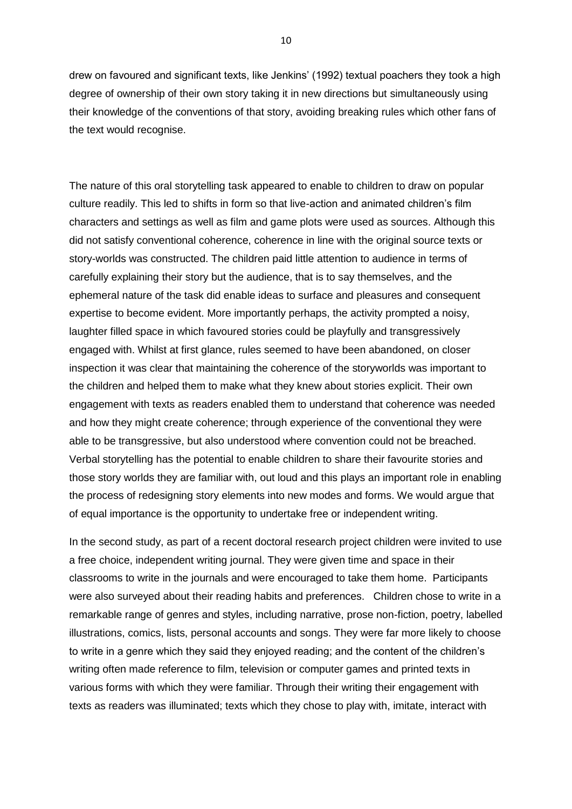drew on favoured and significant texts, like Jenkins' (1992) textual poachers they took a high degree of ownership of their own story taking it in new directions but simultaneously using their knowledge of the conventions of that story, avoiding breaking rules which other fans of the text would recognise.

The nature of this oral storytelling task appeared to enable to children to draw on popular culture readily. This led to shifts in form so that live-action and animated children's film characters and settings as well as film and game plots were used as sources. Although this did not satisfy conventional coherence, coherence in line with the original source texts or story-worlds was constructed. The children paid little attention to audience in terms of carefully explaining their story but the audience, that is to say themselves, and the ephemeral nature of the task did enable ideas to surface and pleasures and consequent expertise to become evident. More importantly perhaps, the activity prompted a noisy, laughter filled space in which favoured stories could be playfully and transgressively engaged with. Whilst at first glance, rules seemed to have been abandoned, on closer inspection it was clear that maintaining the coherence of the storyworlds was important to the children and helped them to make what they knew about stories explicit. Their own engagement with texts as readers enabled them to understand that coherence was needed and how they might create coherence; through experience of the conventional they were able to be transgressive, but also understood where convention could not be breached. Verbal storytelling has the potential to enable children to share their favourite stories and those story worlds they are familiar with, out loud and this plays an important role in enabling the process of redesigning story elements into new modes and forms. We would argue that of equal importance is the opportunity to undertake free or independent writing.

In the second study, as part of a recent doctoral research project children were invited to use a free choice, independent writing journal. They were given time and space in their classrooms to write in the journals and were encouraged to take them home. Participants were also surveyed about their reading habits and preferences. Children chose to write in a remarkable range of genres and styles, including narrative, prose non-fiction, poetry, labelled illustrations, comics, lists, personal accounts and songs. They were far more likely to choose to write in a genre which they said they enjoyed reading; and the content of the children's writing often made reference to film, television or computer games and printed texts in various forms with which they were familiar. Through their writing their engagement with texts as readers was illuminated; texts which they chose to play with, imitate, interact with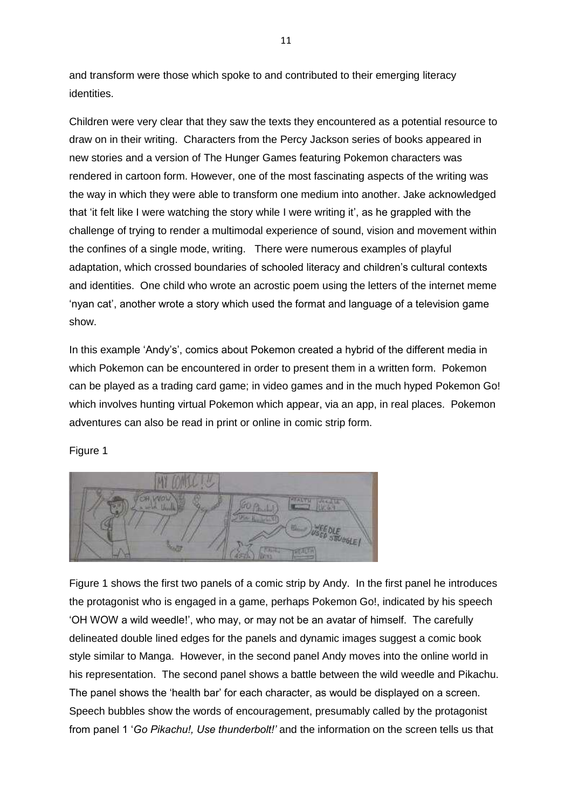and transform were those which spoke to and contributed to their emerging literacy identities.

Children were very clear that they saw the texts they encountered as a potential resource to draw on in their writing. Characters from the Percy Jackson series of books appeared in new stories and a version of The Hunger Games featuring Pokemon characters was rendered in cartoon form. However, one of the most fascinating aspects of the writing was the way in which they were able to transform one medium into another. Jake acknowledged that 'it felt like I were watching the story while I were writing it', as he grappled with the challenge of trying to render a multimodal experience of sound, vision and movement within the confines of a single mode, writing. There were numerous examples of playful adaptation, which crossed boundaries of schooled literacy and children's cultural contexts and identities. One child who wrote an acrostic poem using the letters of the internet meme 'nyan cat', another wrote a story which used the format and language of a television game show.

In this example 'Andy's', comics about Pokemon created a hybrid of the different media in which Pokemon can be encountered in order to present them in a written form. Pokemon can be played as a trading card game; in video games and in the much hyped Pokemon Go! which involves hunting virtual Pokemon which appear, via an app, in real places. Pokemon adventures can also be read in print or online in comic strip form.

Figure 1



Figure 1 shows the first two panels of a comic strip by Andy. In the first panel he introduces the protagonist who is engaged in a game, perhaps Pokemon Go!, indicated by his speech 'OH WOW a wild weedle!', who may, or may not be an avatar of himself. The carefully delineated double lined edges for the panels and dynamic images suggest a comic book style similar to Manga. However, in the second panel Andy moves into the online world in his representation. The second panel shows a battle between the wild weedle and Pikachu. The panel shows the 'health bar' for each character, as would be displayed on a screen. Speech bubbles show the words of encouragement, presumably called by the protagonist from panel 1 '*Go Pikachu!, Use thunderbolt!'* and the information on the screen tells us that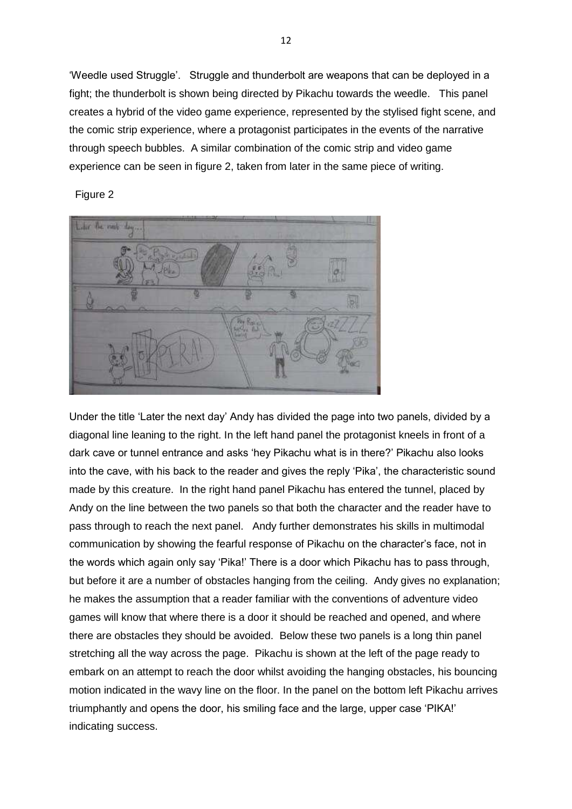'Weedle used Struggle'. Struggle and thunderbolt are weapons that can be deployed in a fight; the thunderbolt is shown being directed by Pikachu towards the weedle. This panel creates a hybrid of the video game experience, represented by the stylised fight scene, and the comic strip experience, where a protagonist participates in the events of the narrative through speech bubbles. A similar combination of the comic strip and video game experience can be seen in figure 2, taken from later in the same piece of writing.

## Figure 2



Under the title 'Later the next day' Andy has divided the page into two panels, divided by a diagonal line leaning to the right. In the left hand panel the protagonist kneels in front of a dark cave or tunnel entrance and asks 'hey Pikachu what is in there?' Pikachu also looks into the cave, with his back to the reader and gives the reply 'Pika', the characteristic sound made by this creature. In the right hand panel Pikachu has entered the tunnel, placed by Andy on the line between the two panels so that both the character and the reader have to pass through to reach the next panel. Andy further demonstrates his skills in multimodal communication by showing the fearful response of Pikachu on the character's face, not in the words which again only say 'Pika!' There is a door which Pikachu has to pass through, but before it are a number of obstacles hanging from the ceiling. Andy gives no explanation; he makes the assumption that a reader familiar with the conventions of adventure video games will know that where there is a door it should be reached and opened, and where there are obstacles they should be avoided. Below these two panels is a long thin panel stretching all the way across the page. Pikachu is shown at the left of the page ready to embark on an attempt to reach the door whilst avoiding the hanging obstacles, his bouncing motion indicated in the wavy line on the floor. In the panel on the bottom left Pikachu arrives triumphantly and opens the door, his smiling face and the large, upper case 'PIKA!' indicating success.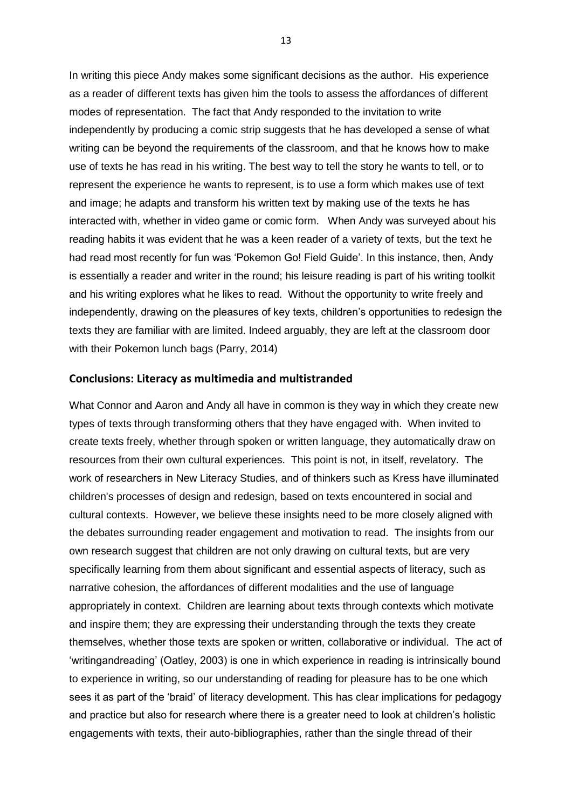In writing this piece Andy makes some significant decisions as the author. His experience as a reader of different texts has given him the tools to assess the affordances of different modes of representation. The fact that Andy responded to the invitation to write independently by producing a comic strip suggests that he has developed a sense of what writing can be beyond the requirements of the classroom, and that he knows how to make use of texts he has read in his writing. The best way to tell the story he wants to tell, or to represent the experience he wants to represent, is to use a form which makes use of text and image; he adapts and transform his written text by making use of the texts he has interacted with, whether in video game or comic form. When Andy was surveyed about his reading habits it was evident that he was a keen reader of a variety of texts, but the text he had read most recently for fun was 'Pokemon Go! Field Guide'. In this instance, then, Andy is essentially a reader and writer in the round; his leisure reading is part of his writing toolkit and his writing explores what he likes to read. Without the opportunity to write freely and independently, drawing on the pleasures of key texts, children's opportunities to redesign the texts they are familiar with are limited. Indeed arguably, they are left at the classroom door with their Pokemon lunch bags (Parry, 2014)

#### **Conclusions: Literacy as multimedia and multistranded**

What Connor and Aaron and Andy all have in common is they way in which they create new types of texts through transforming others that they have engaged with. When invited to create texts freely, whether through spoken or written language, they automatically draw on resources from their own cultural experiences. This point is not, in itself, revelatory. The work of researchers in New Literacy Studies, and of thinkers such as Kress have illuminated children's processes of design and redesign, based on texts encountered in social and cultural contexts. However, we believe these insights need to be more closely aligned with the debates surrounding reader engagement and motivation to read. The insights from our own research suggest that children are not only drawing on cultural texts, but are very specifically learning from them about significant and essential aspects of literacy, such as narrative cohesion, the affordances of different modalities and the use of language appropriately in context. Children are learning about texts through contexts which motivate and inspire them; they are expressing their understanding through the texts they create themselves, whether those texts are spoken or written, collaborative or individual. The act of 'writingandreading' (Oatley, 2003) is one in which experience in reading is intrinsically bound to experience in writing, so our understanding of reading for pleasure has to be one which sees it as part of the 'braid' of literacy development. This has clear implications for pedagogy and practice but also for research where there is a greater need to look at children's holistic engagements with texts, their auto-bibliographies, rather than the single thread of their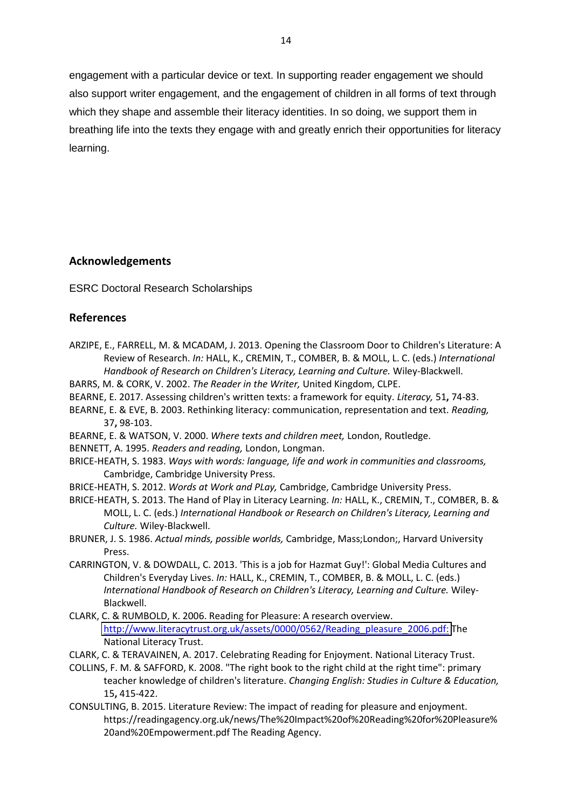engagement with a particular device or text. In supporting reader engagement we should also support writer engagement, and the engagement of children in all forms of text through which they shape and assemble their literacy identities. In so doing, we support them in breathing life into the texts they engage with and greatly enrich their opportunities for literacy learning.

# **Acknowledgements**

ESRC Doctoral Research Scholarships

# **References**

- ARZIPE, E., FARRELL, M. & MCADAM, J. 2013. Opening the Classroom Door to Children's Literature: A Review of Research. *In:* HALL, K., CREMIN, T., COMBER, B. & MOLL, L. C. (eds.) *International Handbook of Research on Children's Literacy, Learning and Culture.* Wiley-Blackwell.
- BARRS, M. & CORK, V. 2002. *The Reader in the Writer,* United Kingdom, CLPE.
- BEARNE, E. 2017. Assessing children's written texts: a framework for equity. *Literacy,* 51**,** 74-83.
- BEARNE, E. & EVE, B. 2003. Rethinking literacy: communication, representation and text. *Reading,* 37**,** 98-103.
- BEARNE, E. & WATSON, V. 2000. *Where texts and children meet,* London, Routledge.
- BENNETT, A. 1995. *Readers and reading,* London, Longman.
- BRICE-HEATH, S. 1983. *Ways with words: language, life and work in communities and classrooms,*  Cambridge, Cambridge University Press.
- BRICE-HEATH, S. 2012. *Words at Work and PLay,* Cambridge, Cambridge University Press.
- BRICE-HEATH, S. 2013. The Hand of Play in Literacy Learning. *In:* HALL, K., CREMIN, T., COMBER, B. & MOLL, L. C. (eds.) *International Handbook or Research on Children's Literacy, Learning and Culture.* Wiley-Blackwell.
- BRUNER, J. S. 1986. *Actual minds, possible worlds,* Cambridge, Mass;London;, Harvard University Press.
- CARRINGTON, V. & DOWDALL, C. 2013. 'This is a job for Hazmat Guy!': Global Media Cultures and Children's Everyday Lives. *In:* HALL, K., CREMIN, T., COMBER, B. & MOLL, L. C. (eds.) *International Handbook of Research on Children's Literacy, Learning and Culture.* Wiley-Blackwell.
- CLARK, C. & RUMBOLD, K. 2006. Reading for Pleasure: A research overview. [http://www.literacytrust.org.uk/assets/0000/0562/Reading\\_pleasure\\_2006.pdf:](http://www.literacytrust.org.uk/assets/0000/0562/Reading_pleasure_2006.pdf:) The National Literacy Trust.
- CLARK, C. & TERAVAINEN, A. 2017. Celebrating Reading for Enjoyment. National Literacy Trust.
- COLLINS, F. M. & SAFFORD, K. 2008. "The right book to the right child at the right time": primary teacher knowledge of children's literature. *Changing English: Studies in Culture & Education,* 15**,** 415-422.
- CONSULTING, B. 2015. Literature Review: The impact of reading for pleasure and enjoyment. https://readingagency.org.uk/news/The%20Impact%20of%20Reading%20for%20Pleasure% 20and%20Empowerment.pdf The Reading Agency.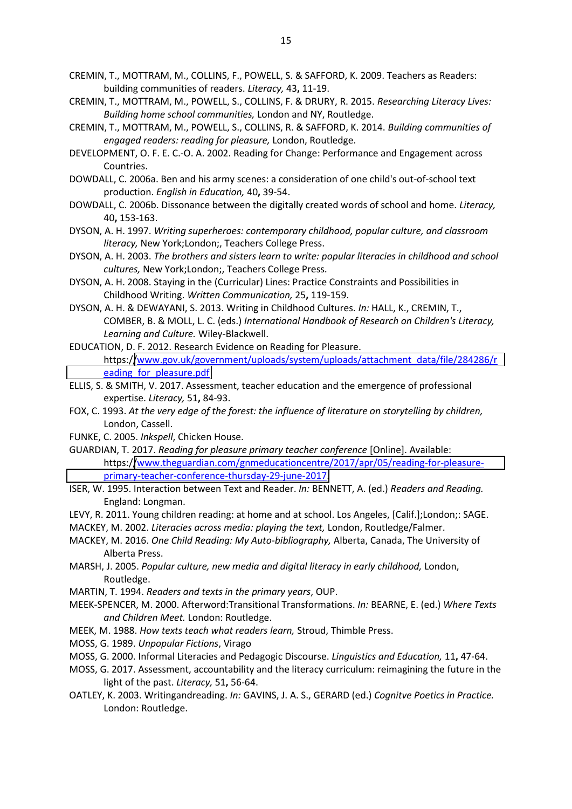- CREMIN, T., MOTTRAM, M., COLLINS, F., POWELL, S. & SAFFORD, K. 2009. Teachers as Readers: building communities of readers. *Literacy,* 43**,** 11-19.
- CREMIN, T., MOTTRAM, M., POWELL, S., COLLINS, F. & DRURY, R. 2015. *Researching Literacy Lives: Building home school communities,* London and NY, Routledge.
- CREMIN, T., MOTTRAM, M., POWELL, S., COLLINS, R. & SAFFORD, K. 2014. *Building communities of engaged readers: reading for pleasure,* London, Routledge.
- DEVELOPMENT, O. F. E. C.-O. A. 2002. Reading for Change: Performance and Engagement across Countries.
- DOWDALL, C. 2006a. Ben and his army scenes: a consideration of one child's out-of-school text production. *English in Education,* 40**,** 39-54.
- DOWDALL, C. 2006b. Dissonance between the digitally created words of school and home. *Literacy,* 40**,** 153-163.
- DYSON, A. H. 1997. *Writing superheroes: contemporary childhood, popular culture, and classroom literacy,* New York;London;, Teachers College Press.
- DYSON, A. H. 2003. *The brothers and sisters learn to write: popular literacies in childhood and school cultures,* New York;London;, Teachers College Press.
- DYSON, A. H. 2008. Staying in the (Curricular) Lines: Practice Constraints and Possibilities in Childhood Writing. *Written Communication,* 25**,** 119-159.
- DYSON, A. H. & DEWAYANI, S. 2013. Writing in Childhood Cultures. *In:* HALL, K., CREMIN, T., COMBER, B. & MOLL, L. C. (eds.) *International Handbook of Research on Children's Literacy, Learning and Culture.* Wiley-Blackwell.
- EDUCATION, D. F. 2012. Research Evidence on Reading for Pleasure. https:/[/www.gov.uk/government/uploads/system/uploads/attachment\\_data/file/284286/r](http://www.gov.uk/government/uploads/system/uploads/attachment_data/file/284286/reading_for_pleasure.pdf) eading for pleasure.pdf
- ELLIS, S. & SMITH, V. 2017. Assessment, teacher education and the emergence of professional expertise. *Literacy,* 51**,** 84-93.
- FOX, C. 1993. *At the very edge of the forest: the influence of literature on storytelling by children,*  London, Cassell.
- FUNKE, C. 2005. *Inkspell*, Chicken House.
- GUARDIAN, T. 2017. *Reading for pleasure primary teacher conference* [Online]. Available: https:/[/www.theguardian.com/gnmeducationcentre/2017/apr/05/reading-for-pleasure](http://www.theguardian.com/gnmeducationcentre/2017/apr/05/reading-for-pleasure-primary-teacher-conference-thursday-29-june-2017)[primary-teacher-conference-thursday-29-june-2017.](http://www.theguardian.com/gnmeducationcentre/2017/apr/05/reading-for-pleasure-primary-teacher-conference-thursday-29-june-2017)
- ISER, W. 1995. Interaction between Text and Reader. *In:* BENNETT, A. (ed.) *Readers and Reading.* England: Longman.
- LEVY, R. 2011. Young children reading: at home and at school. Los Angeles, [Calif.];London;: SAGE.
- MACKEY, M. 2002. *Literacies across media: playing the text,* London, Routledge/Falmer.
- MACKEY, M. 2016. *One Child Reading: My Auto-bibliography,* Alberta, Canada, The University of Alberta Press.
- MARSH, J. 2005. *Popular culture, new media and digital literacy in early childhood,* London, Routledge.
- MARTIN, T. 1994. *Readers and texts in the primary years*, OUP.
- MEEK-SPENCER, M. 2000. Afterword:Transitional Transformations. *In:* BEARNE, E. (ed.) *Where Texts and Children Meet.* London: Routledge.
- MEEK, M. 1988. *How texts teach what readers learn,* Stroud, Thimble Press.
- MOSS, G. 1989. *Unpopular Fictions*, Virago
- MOSS, G. 2000. Informal Literacies and Pedagogic Discourse. *Linguistics and Education,* 11**,** 47-64.
- MOSS, G. 2017. Assessment, accountability and the literacy curriculum: reimagining the future in the light of the past. *Literacy,* 51**,** 56-64.
- OATLEY, K. 2003. Writingandreading. *In:* GAVINS, J. A. S., GERARD (ed.) *Cognitve Poetics in Practice.* London: Routledge.